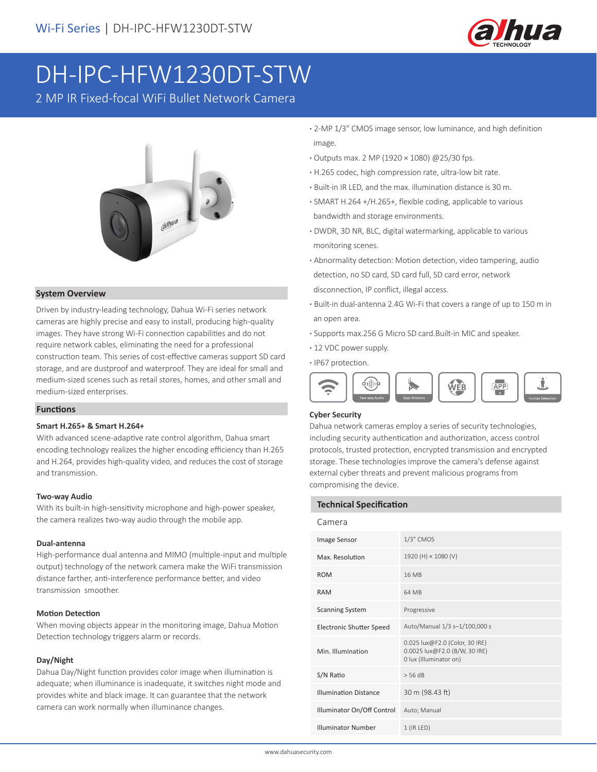

# DH-IPC-HFW1230DT-STW

2 MP IR Fixed-focal WiFi Bullet Network Camera



#### **System Overview**

Driven by industry-leading technology, Dahua Wi-Fi series network cameras are highly precise and easy to install, producing high-quality images. They have strong Wi-Fi connection capabilities and do not require network cables, eliminating the need for a professional construction team. This series of cost-effective cameras support SD card storage, and are dustproof and waterproof. They are ideal for small and medium-sized scenes such as retail stores, homes, and other small and medium-sized enterprises.

#### **Functions**

#### **Smart H.265+ & Smart H.264+**

With advanced scene-adaptive rate control algorithm, Dahua smart encoding technology realizes the higher encoding efficiency than H.265 and H.264, provides high-quality video, and reduces the cost of storage and transmission.

#### **Two-way Audio**

With its built-in high-sensitivity microphone and high-power speaker, the camera realizes two-way audio through the mobile app.

#### **Dual-antenna**

High-performance dual antenna and MIMO (multiple-input and multiple output) technology of the network camera make the WiFi transmission distance farther, anti-interference performance better, and video transmission smoother.

#### **Motion Detection**

When moving objects appear in the monitoring image, Dahua Motion Detection technology triggers alarm or records.

#### **Day/Night**

Dahua Day/Night function provides color image when illumination is adequate; when illuminance is inadequate, it switches night mode and provides white and black image. It can guarantee that the network camera can work normally when illuminance changes.

- **·** 2-MP 1/3" CMOS image sensor, low luminance, and high definition image.
- **·** Outputs max. 2 MP (1920 × 1080) @25/30 fps.
- **·** H.265 codec, high compression rate, ultra-low bit rate.
- **·** Built-in IR LED, and the max. illumination distance is 30 m.
- **·** SMART H.264 +/H.265+, flexible coding, applicable to various bandwidth and storage environments.
- **·** DWDR, 3D NR, BLC, digital watermarking, applicable to various monitoring scenes.
- **·** Abnormality detection: Motion detection, video tampering, audio detection, no SD card, SD card full, SD card error, network disconnection, IP conflict, illegal access.
- **·** Built-in dual-antenna 2.4G Wi-Fi that covers a range of up to 150 m in an open area.
- **·** Supports max.256 G Micro SD card.Built-in MIC and speaker.
- **·** 12 VDC power supply.

**·** IP67 protection.



#### **Cyber Security**

Dahua network cameras employ a series of security technologies, including security authentication and authorization, access control protocols, trusted protection, encrypted transmission and encrypted storage. These technologies improve the camera's defense against external cyber threats and prevent malicious programs from compromising the device.

#### **Technical Specification**

| Camera                          |                                                                                           |
|---------------------------------|-------------------------------------------------------------------------------------------|
| Image Sensor                    | $1/3$ " CMOS                                                                              |
| Max. Resolution                 | 1920 (H) × 1080 (V)                                                                       |
| <b>ROM</b>                      | 16 MB                                                                                     |
| <b>RAM</b>                      | 64 MB                                                                                     |
| <b>Scanning System</b>          | Progressive                                                                               |
| <b>Electronic Shutter Speed</b> | Auto/Manual 1/3 s-1/100,000 s                                                             |
| Min. Illumination               | 0.025 lux@F2.0 (Color, 30 IRE)<br>0.0025 lux@F2.0 (B/W, 30 IRE)<br>0 lux (Illuminator on) |
| S/N Ratio                       | $>$ 56 dB                                                                                 |
| <b>Illumination Distance</b>    | 30 m (98.43 ft)                                                                           |
| Illuminator On/Off Control      | Auto; Manual                                                                              |
| <b>Illuminator Number</b>       | $1$ (IR LED)                                                                              |
|                                 |                                                                                           |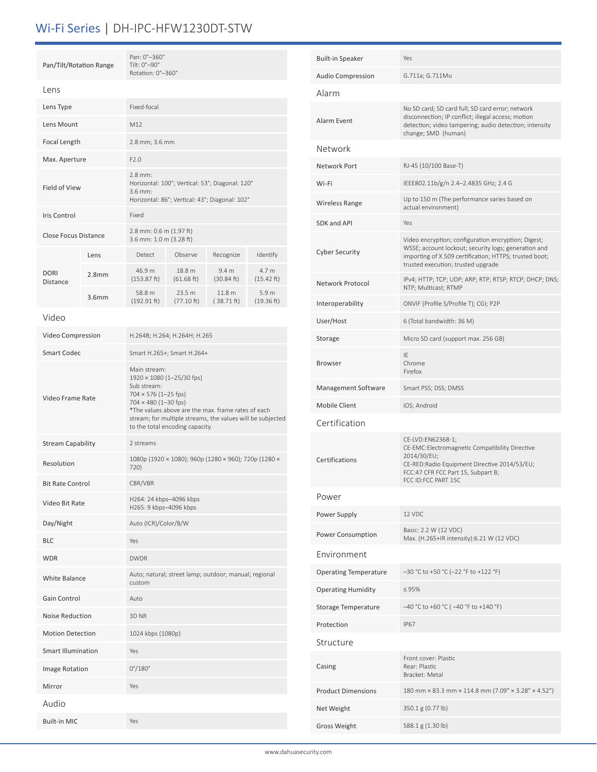# Wi-Fi Series | DH-IPC-HFW1230DT-STW

| Pan/Tilt/Rotation Range          |                                              | Pan: 0°-360°<br>Tilt: 0°-90°<br>Rotation: 0°-360°                                                                                                                                                                                                                                    |                                                                                                                             |                                                       |                     |  |
|----------------------------------|----------------------------------------------|--------------------------------------------------------------------------------------------------------------------------------------------------------------------------------------------------------------------------------------------------------------------------------------|-----------------------------------------------------------------------------------------------------------------------------|-------------------------------------------------------|---------------------|--|
| Lens                             |                                              |                                                                                                                                                                                                                                                                                      |                                                                                                                             |                                                       |                     |  |
| Lens Type                        |                                              | Fixed-focal                                                                                                                                                                                                                                                                          |                                                                                                                             |                                                       |                     |  |
| Lens Mount                       |                                              | M12                                                                                                                                                                                                                                                                                  |                                                                                                                             |                                                       |                     |  |
| Focal Length                     |                                              | 2.8 mm; 3.6 mm                                                                                                                                                                                                                                                                       |                                                                                                                             |                                                       |                     |  |
| Max. Aperture                    |                                              | F2.0                                                                                                                                                                                                                                                                                 |                                                                                                                             |                                                       |                     |  |
| Field of View                    |                                              |                                                                                                                                                                                                                                                                                      | $2.8$ mm:<br>Horizontal: 100°; Vertical: 53°; Diagonal: 120°<br>$3.6$ mm:<br>Horizontal: 86°; Vertical: 43°; Diagonal: 102° |                                                       |                     |  |
| Iris Control                     |                                              |                                                                                                                                                                                                                                                                                      | Fixed                                                                                                                       |                                                       |                     |  |
| Close Focus Distance             |                                              | 2.8 mm: 0.6 m (1.97 ft)<br>3.6 mm: 1.0 m (3.28 ft)                                                                                                                                                                                                                                   |                                                                                                                             |                                                       |                     |  |
|                                  | Lens                                         | Detect                                                                                                                                                                                                                                                                               | Observe                                                                                                                     | Recognize                                             | Identify            |  |
| <b>DORI</b><br><b>Distance</b>   | 2.8 <sub>mm</sub>                            | 46.9 m<br>(153.87 ft)                                                                                                                                                                                                                                                                | 18.8 m<br>(61.68 ft)                                                                                                        | 9.4 <sub>m</sub><br>(30.84 ft)                        | 4.7 m<br>(15.42 ft) |  |
|                                  | 3.6 <sub>mm</sub>                            | 58.8 m<br>(192.91 ft)                                                                                                                                                                                                                                                                | 23.5 m<br>(77.10 ft)                                                                                                        | 11.8 m<br>(38.71 ft)                                  | 5.9 m<br>(19.36 ft) |  |
| Video                            |                                              |                                                                                                                                                                                                                                                                                      |                                                                                                                             |                                                       |                     |  |
| Video Compression                |                                              | H.264B; H.264; H.264H; H.265                                                                                                                                                                                                                                                         |                                                                                                                             |                                                       |                     |  |
|                                  | <b>Smart Codec</b>                           |                                                                                                                                                                                                                                                                                      | Smart H.265+; Smart H.264+                                                                                                  |                                                       |                     |  |
| Video Frame Rate                 |                                              | Main stream:<br>$1920 \times 1080$ (1-25/30 fps)<br>Sub stream:<br>$704 \times 576$ (1-25 fps)<br>$704 \times 480$ (1-30 fps)<br>*The values above are the max. frame rates of each<br>stream; for multiple streams, the values will be subjected<br>to the total encoding capacity. |                                                                                                                             |                                                       |                     |  |
| <b>Stream Capability</b>         |                                              | 2 streams                                                                                                                                                                                                                                                                            |                                                                                                                             |                                                       |                     |  |
| Resolution                       |                                              | 1080p (1920 × 1080); 960p (1280 × 960); 720p (1280 ×<br>720)                                                                                                                                                                                                                         |                                                                                                                             |                                                       |                     |  |
| <b>Bit Rate Control</b>          |                                              | CBR/VBR                                                                                                                                                                                                                                                                              |                                                                                                                             |                                                       |                     |  |
| Video Bit Rate                   |                                              | H264: 24 kbps-4096 kbps<br>H265: 9 kbps-4096 kbps                                                                                                                                                                                                                                    |                                                                                                                             |                                                       |                     |  |
| Day/Night                        |                                              | Auto (ICR)/Color/B/W                                                                                                                                                                                                                                                                 |                                                                                                                             |                                                       |                     |  |
| <b>BLC</b>                       |                                              | Yes                                                                                                                                                                                                                                                                                  |                                                                                                                             |                                                       |                     |  |
| <b>WDR</b>                       |                                              | <b>DWDR</b>                                                                                                                                                                                                                                                                          |                                                                                                                             |                                                       |                     |  |
| <b>White Balance</b>             |                                              | custom                                                                                                                                                                                                                                                                               |                                                                                                                             | Auto; natural; street lamp; outdoor; manual; regional |                     |  |
| Gain Control                     |                                              | Auto                                                                                                                                                                                                                                                                                 |                                                                                                                             |                                                       |                     |  |
|                                  | <b>Noise Reduction</b><br>3D <sub>NR</sub>   |                                                                                                                                                                                                                                                                                      |                                                                                                                             |                                                       |                     |  |
|                                  | <b>Motion Detection</b><br>1024 kbps (1080p) |                                                                                                                                                                                                                                                                                      |                                                                                                                             |                                                       |                     |  |
| <b>Smart Illumination</b><br>Yes |                                              |                                                                                                                                                                                                                                                                                      |                                                                                                                             |                                                       |                     |  |
| Image Rotation                   |                                              | $0^{\circ}/180^{\circ}$                                                                                                                                                                                                                                                              |                                                                                                                             |                                                       |                     |  |
| Mirror                           |                                              | Yes                                                                                                                                                                                                                                                                                  |                                                                                                                             |                                                       |                     |  |
| Audio                            |                                              |                                                                                                                                                                                                                                                                                      |                                                                                                                             |                                                       |                     |  |
| <b>Built-in MIC</b>              |                                              | Yes                                                                                                                                                                                                                                                                                  |                                                                                                                             |                                                       |                     |  |

| <b>Built-in Speaker</b>      | Yes                                                                                                                                                                                                         |  |  |
|------------------------------|-------------------------------------------------------------------------------------------------------------------------------------------------------------------------------------------------------------|--|--|
| <b>Audio Compression</b>     | G.711a; G.711Mu                                                                                                                                                                                             |  |  |
| Alarm                        |                                                                                                                                                                                                             |  |  |
| Alarm Event                  | No SD card; SD card full; SD card error; network<br>disconnection; IP conflict; illegal access; motion<br>detection; video tampering; audio detection; intensity<br>change; SMD (human)                     |  |  |
| Network                      |                                                                                                                                                                                                             |  |  |
| Network Port                 | RJ-45 (10/100 Base-T)                                                                                                                                                                                       |  |  |
| Wi-Fi                        | IEEE802.11b/g/n 2.4-2.4835 GHz; 2.4 G                                                                                                                                                                       |  |  |
| Wireless Range               | Up to 150 m (The performance varies based on<br>actual environment)                                                                                                                                         |  |  |
| <b>SDK and API</b>           | Yes                                                                                                                                                                                                         |  |  |
| <b>Cyber Security</b>        | Video encryption; configuration encryption; Digest;<br>WSSE; account lockout; security logs; generation and<br>importing of X.509 certification; HTTPS; trusted boot;<br>trusted execution; trusted upgrade |  |  |
| Network Protocol             | IPv4; HTTP; TCP; UDP; ARP; RTP; RTSP; RTCP; DHCP; DNS;<br>NTP; Multicast; RTMP                                                                                                                              |  |  |
| Interoperability             | ONVIF (Profile S/Profile T); CGI; P2P                                                                                                                                                                       |  |  |
| User/Host                    | 6 (Total bandwidth: 36 M)                                                                                                                                                                                   |  |  |
| Storage                      | Micro SD card (support max. 256 GB)                                                                                                                                                                         |  |  |
| <b>Browser</b>               | IE<br>Chrome<br>Firefox                                                                                                                                                                                     |  |  |
| Management Software          | Smart PSS; DSS; DMSS                                                                                                                                                                                        |  |  |
| Mobile Client                | iOS; Android                                                                                                                                                                                                |  |  |
| Certification                |                                                                                                                                                                                                             |  |  |
| Certifications               | CE-LVD:EN62368-1;<br>CE-EMC:Electromagnetic Compatibility Directive<br>2014/30/EU;<br>CE-RED:Radio Equipment Directive 2014/53/EU;<br>FCC:47 CFR FCC Part 15, Subpart B;<br>FCC ID:FCC PART 15C             |  |  |
| Power                        |                                                                                                                                                                                                             |  |  |
| Power Supply                 | 12 VDC                                                                                                                                                                                                      |  |  |
| Power Consumption            | Basic: 2.2 W (12 VDC)<br>Max. (H.265+IR intensity):6.21 W (12 VDC)                                                                                                                                          |  |  |
| Environment                  |                                                                                                                                                                                                             |  |  |
| <b>Operating Temperature</b> | -30 °C to +50 °C (-22 °F to +122 °F)                                                                                                                                                                        |  |  |
| <b>Operating Humidity</b>    | $\leq 95\%$                                                                                                                                                                                                 |  |  |
| <b>Storage Temperature</b>   | -40 °C to +60 °C ( -40 °F to +140 °F)                                                                                                                                                                       |  |  |
| Protection                   | <b>IP67</b>                                                                                                                                                                                                 |  |  |
| Structure                    |                                                                                                                                                                                                             |  |  |
| Casing                       | Front cover: Plastic<br>Rear: Plastic<br>Bracket: Metal                                                                                                                                                     |  |  |
| <b>Product Dimensions</b>    | 180 mm × 83.3 mm × 114.8 mm (7.09" × 3.28" × 4.52")                                                                                                                                                         |  |  |
| Net Weight                   | 350.1 g (0.77 lb)                                                                                                                                                                                           |  |  |
| <b>Gross Weight</b>          | 588.1 g (1.30 lb)                                                                                                                                                                                           |  |  |